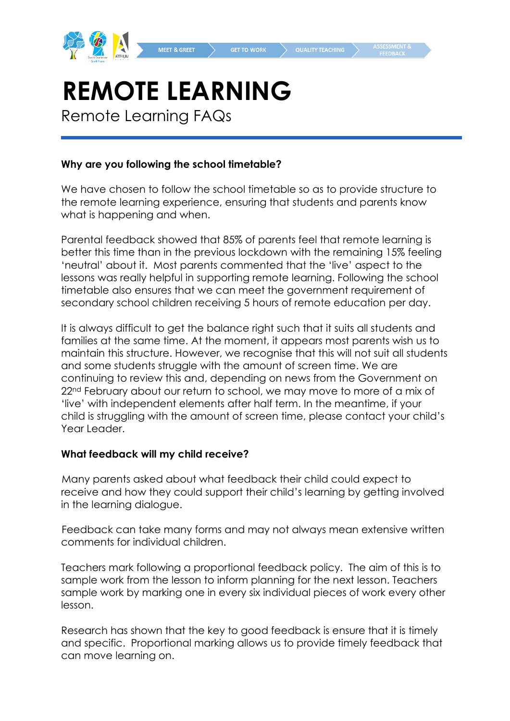

# **REMOTE LEARNING**

Remote Learning FAQs

#### **Why are you following the school timetable?**

We have chosen to follow the school timetable so as to provide structure to the remote learning experience, ensuring that students and parents know what is happening and when.

Parental feedback showed that 85% of parents feel that remote learning is better this time than in the previous lockdown with the remaining 15% feeling 'neutral' about it. Most parents commented that the 'live' aspect to the lessons was really helpful in supporting remote learning. Following the school timetable also ensures that we can meet the government requirement of secondary school children receiving 5 hours of remote education per day.

It is always difficult to get the balance right such that it suits all students and families at the same time. At the moment, it appears most parents wish us to maintain this structure. However, we recognise that this will not suit all students and some students struggle with the amount of screen time. We are continuing to review this and, depending on news from the Government on 22<sup>nd</sup> February about our return to school, we may move to more of a mix of 'live' with independent elements after half term. In the meantime, if your child is struggling with the amount of screen time, please contact your child's Year Leader.

#### **What feedback will my child receive?**

Many parents asked about what feedback their child could expect to receive and how they could support their child's learning by getting involved in the learning dialogue.

Feedback can take many forms and may not always mean extensive written comments for individual children.

Teachers mark following a proportional feedback policy. The aim of this is to sample work from the lesson to inform planning for the next lesson. Teachers sample work by marking one in every six individual pieces of work every other lesson.

Research has shown that the key to good feedback is ensure that it is timely and specific. Proportional marking allows us to provide timely feedback that can move learning on.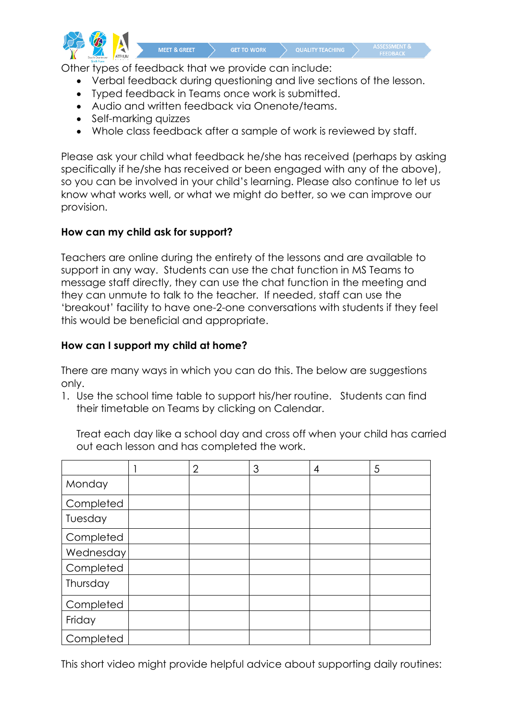

Other types of feedback that we provide can include:

MEET & GREET

- Verbal feedback during questioning and live sections of the lesson.
- Typed feedback in Teams once work is submitted.
- Audio and written feedback via Onenote/teams.
- Self-marking quizzes
- Whole class feedback after a sample of work is reviewed by staff.

Please ask your child what feedback he/she has received (perhaps by asking specifically if he/she has received or been engaged with any of the above), so you can be involved in your child's learning. Please also continue to let us know what works well, or what we might do better, so we can improve our provision.

#### **How can my child ask for support?**

Teachers are online during the entirety of the lessons and are available to support in any way. Students can use the chat function in MS Teams to message staff directly, they can use the chat function in the meeting and they can unmute to talk to the teacher. If needed, staff can use the 'breakout' facility to have one-2-one conversations with students if they feel this would be beneficial and appropriate.

### **How can I support my child at home?**

There are many ways in which you can do this. The below are suggestions only.

1. Use the school time table to support his/her routine. Students can find their timetable on Teams by clicking on Calendar.

Treat each day like a school day and cross off when your child has carried out each lesson and has completed the work.

|           | $\overline{2}$ | 3 | 4 | 5 |
|-----------|----------------|---|---|---|
| Monday    |                |   |   |   |
| Completed |                |   |   |   |
| Tuesday   |                |   |   |   |
| Completed |                |   |   |   |
| Wednesday |                |   |   |   |
| Completed |                |   |   |   |
| Thursday  |                |   |   |   |
| Completed |                |   |   |   |
| Friday    |                |   |   |   |
| Completed |                |   |   |   |

This short video might provide helpful advice about supporting daily routines: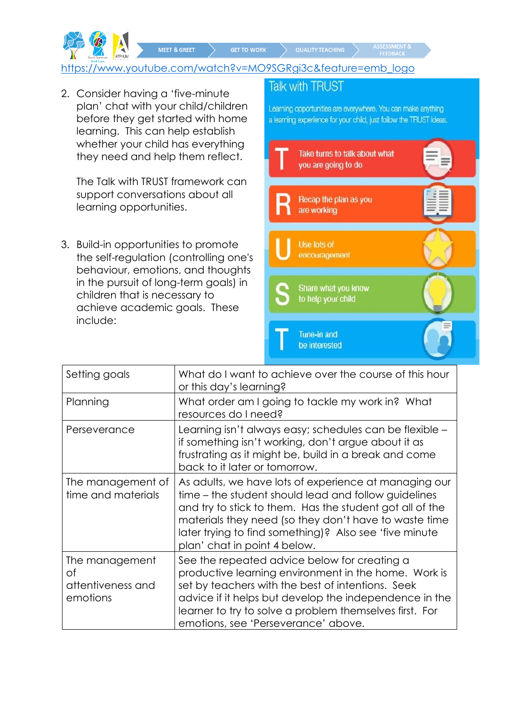**GET TO WORK** 

[https://www.youtube.com/watch?v=MO9SGRgi3c&feature=emb\\_logo](https://www.youtube.com/watch?v=MO9SGRgi3c&feature=emb_logo) 

2. Consider having a 'five-minute plan' chat with your child/children before they get started with home learning. This can help establish whether your child has everything they need and help them reflect.

MEET & GREET

The Talk with TRUST framework can support conversations about all learning opportunities.

3. Build-in opportunities to promote the self-regulation (controlling one's behaviour, emotions, and thoughts in the pursuit of long-term goals) in children that is necessary to achieve academic goals. These include:

# **Talk with TRUST**

Learning opportunities are everywhere. You can make anything a learning experience for your child, just follow the TRUST ideas.



| Setting goals                                         | What do I want to achieve over the course of this hour<br>or this day's learning?                                                                                                                                                                                                                                            |  |  |  |
|-------------------------------------------------------|------------------------------------------------------------------------------------------------------------------------------------------------------------------------------------------------------------------------------------------------------------------------------------------------------------------------------|--|--|--|
| Planning                                              | What order am I going to tackle my work in? What<br>resources do I need?                                                                                                                                                                                                                                                     |  |  |  |
| Perseverance                                          | Learning isn't always easy; schedules can be flexible –<br>if something isn't working, don't argue about it as<br>frustrating as it might be, build in a break and come<br>back to it later or tomorrow.                                                                                                                     |  |  |  |
| The management of<br>time and materials               | As adults, we have lots of experience at managing our<br>time – the student should lead and follow guidelines<br>and try to stick to them. Has the student got all of the<br>materials they need (so they don't have to waste time<br>later trying to find something)? Also see 'five minute<br>plan' chat in point 4 below. |  |  |  |
| The management<br>Οf<br>attentiveness and<br>emotions | See the repeated advice below for creating a<br>productive learning environment in the home. Work is<br>set by teachers with the best of intentions. Seek<br>advice if it helps but develop the independence in the<br>learner to try to solve a problem themselves first. For<br>emotions, see 'Perseverance' above.        |  |  |  |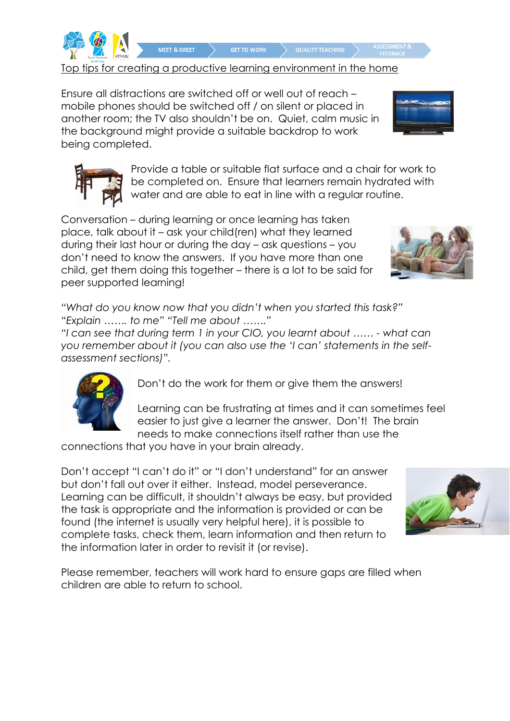

Top tips for creating a productive learning environment in the home

**GET TO WORK** 

Ensure all distractions are switched off or well out of reach – mobile phones should be switched off / on silent or placed in another room; the TV also shouldn't be on. Quiet, calm music in the background might provide a suitable backdrop to work being completed.

MEET & GREET

Provide a table or suitable flat surface and a chair for work to be completed on. Ensure that learners remain hydrated with water and are able to eat in line with a regular routine.

**QUALITY TEACHING** 

Conversation – during learning or once learning has taken place, talk about it – ask your child(ren) what they learned during their last hour or during the day – ask questions – you don't need to know the answers. If you have more than one child, get them doing this together – there is a lot to be said for peer supported learning!

*"What do you know now that you didn't when you started this task?" "Explain ……. to me" "Tell me about ……."* 

*"I can see that during term 1 in your CIO, you learnt about …… - what can you remember about it (you can also use the 'I can' statements in the selfassessment sections)".*



Don't do the work for them or give them the answers!

Learning can be frustrating at times and it can sometimes feel easier to just give a learner the answer. Don't! The brain needs to make connections itself rather than use the

connections that you have in your brain already.

Don't accept "I can't do it" or "I don't understand" for an answer but don't fall out over it either. Instead, model perseverance. Learning can be difficult, it shouldn't always be easy, but provided the task is appropriate and the information is provided or can be found (the internet is usually very helpful here), it is possible to complete tasks, check them, learn information and then return to the information later in order to revisit it (or revise).







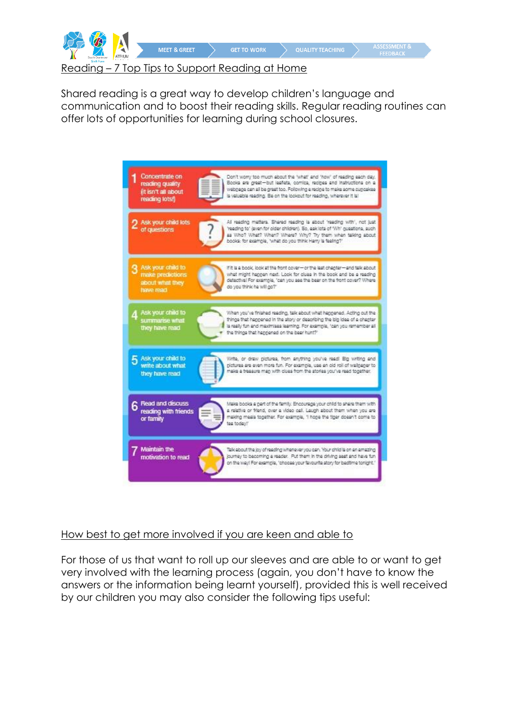

Shared reading is a great way to develop children's language and communication and to boost their reading skills. Regular reading routines can offer lots of opportunities for learning during school closures.



# How best to get more involved if you are keen and able to

For those of us that want to roll up our sleeves and are able to or want to get very involved with the learning process (again, you don't have to know the answers or the information being learnt yourself), provided this is well received by our children you may also consider the following tips useful: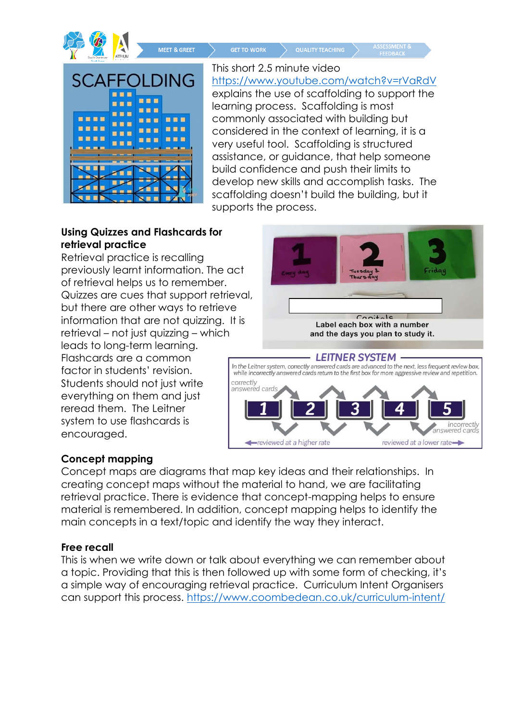

MEET & GREET

**GET TO WORK** 

**SCAFFOLDING** ... ■■■■ **BBB** .... ... ■ ■ ■

This short 2.5 minute video <https://www.youtube.com/watch?v=rVaRdV> explains the use of scaffolding to support the learning process. Scaffolding is most commonly associated with building but considered in the context of learning, it is a very useful tool. Scaffolding is structured assistance, or guidance, that help someone build confidence and push their limits to develop new skills and accomplish tasks. The scaffolding doesn't build the building, but it supports the process.

**QUALITY TEACHING** 

# **Using Quizzes and Flashcards for retrieval practice**

Retrieval practice is recalling previously learnt information. The act of retrieval helps us to remember. Quizzes are cues that support retrieval, but there are other ways to retrieve information that are not quizzing. It is retrieval – not just quizzing – which leads to long-term learning. Flashcards are a common factor in students' revision. Students should not just write everything on them and just reread them. The Leitner system to use flashcards is encouraged.



# **Concept mapping**

Concept maps are diagrams that map key ideas and their relationships. In creating concept maps without the material to hand, we are facilitating retrieval practice. There is evidence that concept-mapping helps to ensure material is remembered. In addition, concept mapping helps to identify the main concepts in a text/topic and identify the way they interact.

# **Free recall**

This is when we write down or talk about everything we can remember about a topic. Providing that this is then followed up with some form of checking, it's a simple way of encouraging retrieval practice. Curriculum Intent Organisers can support this process.<https://www.coombedean.co.uk/curriculum-intent/>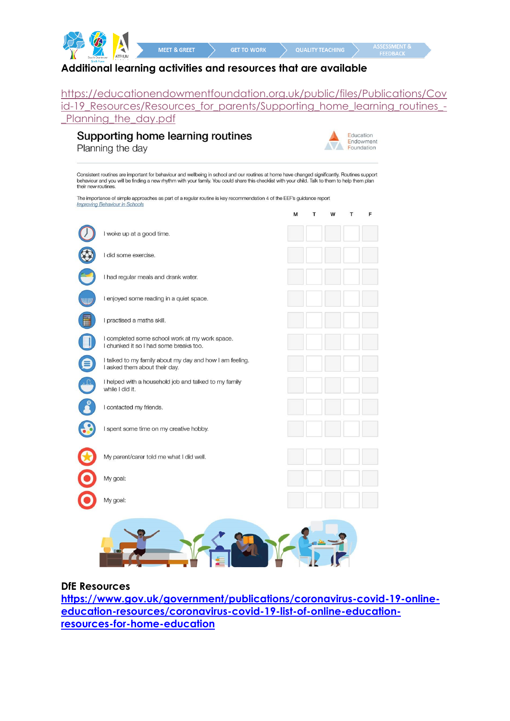

#### **Additional learning activities and resources that are available**

[https://educationendowmentfoundation.org.uk/public/files/Publications/Cov](https://educationendowmentfoundation.org.uk/public/files/Publications/Covid-19_Resources/Resources_for_parents/Supporting_home_learning_routines_-_Planning_the_day.pdf) [id-19\\_Resources/Resources\\_for\\_parents/Supporting\\_home\\_learning\\_routines\\_-](https://educationendowmentfoundation.org.uk/public/files/Publications/Covid-19_Resources/Resources_for_parents/Supporting_home_learning_routines_-_Planning_the_day.pdf) Planning the day.pdf

#### Supporting home learning routines Planning the day



Consistent routines are important for behaviour and wellbeing in school and our routines at home have changed significantly. Routines support<br>behaviour and you will be finding a new rhythm with your family. You could share their new routines

The importance of simple approaches as part of a regular routine is key recommendation 4 of the EEF's guidance report **Improving Behaviour in Schools** 

|           |                                                                                           | М | T | W | T | F |
|-----------|-------------------------------------------------------------------------------------------|---|---|---|---|---|
|           | I woke up at a good time.                                                                 |   |   |   |   |   |
|           | I did some exercise.                                                                      |   |   |   |   |   |
|           | I had regular meals and drank water.                                                      |   |   |   |   |   |
| ANIO MAZZ | I enjoyed some reading in a quiet space.                                                  |   |   |   |   |   |
|           | I practised a maths skill.                                                                |   |   |   |   |   |
|           | I completed some school work at my work space.<br>I chunked it so I had some breaks too.  |   |   |   |   |   |
|           | I talked to my family about my day and how I am feeling.<br>I asked them about their day. |   |   |   |   |   |
|           | I helped with a household job and talked to my family<br>while I did it.                  |   |   |   |   |   |
|           | I contacted my friends.                                                                   |   |   |   |   |   |
|           | I spent some time on my creative hobby.                                                   |   |   |   |   |   |
|           | My parent/carer told me what I did well.                                                  |   |   |   |   |   |
|           | My goal:                                                                                  |   |   |   |   |   |
|           | My goal:                                                                                  |   |   |   |   |   |
|           | $\blacksquare$                                                                            |   |   |   |   |   |
|           |                                                                                           |   |   |   |   |   |

#### **DfE Resources**

**[https://www.gov.uk/government/publications/coronavirus-covid-19-online](https://www.gov.uk/government/publications/coronavirus-covid-19-online-education-resources/coronavirus-covid-19-list-of-online-education-resources-for-home-education)[education-resources/coronavirus-covid-19-list-of-online-education](https://www.gov.uk/government/publications/coronavirus-covid-19-online-education-resources/coronavirus-covid-19-list-of-online-education-resources-for-home-education)[resources-for-home-education](https://www.gov.uk/government/publications/coronavirus-covid-19-online-education-resources/coronavirus-covid-19-list-of-online-education-resources-for-home-education)**